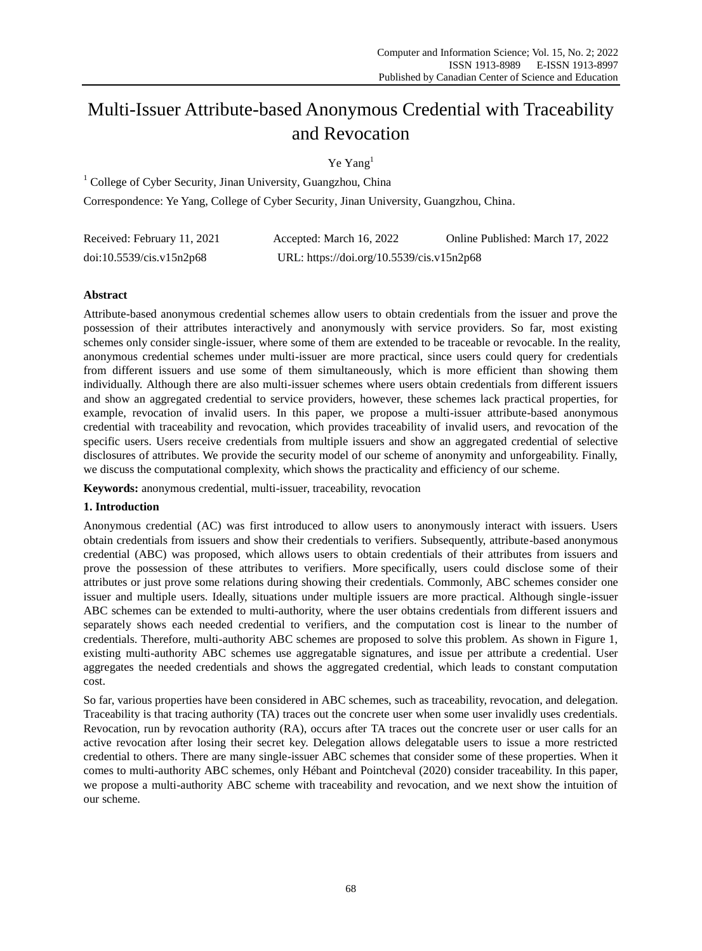# Multi-Issuer Attribute-based Anonymous Credential with Traceability and Revocation

Ye Yang<sup>1</sup>

<sup>1</sup> College of Cyber Security, Jinan University, Guangzhou, China Correspondence: Ye Yang, College of Cyber Security, Jinan University, Guangzhou, China.

| Received: February 11, 2021 | Accepted: March 16, 2022                  | Online Published: March 17, 2022 |
|-----------------------------|-------------------------------------------|----------------------------------|
| doi:10.5539/cis.v15n2p68    | URL: https://doi.org/10.5539/cis.v15n2p68 |                                  |

# **Abstract**

Attribute-based anonymous credential schemes allow users to obtain credentials from the issuer and prove the possession of their attributes interactively and anonymously with service providers. So far, most existing schemes only consider single-issuer, where some of them are extended to be traceable or revocable. In the reality, anonymous credential schemes under multi-issuer are more practical, since users could query for credentials from different issuers and use some of them simultaneously, which is more efficient than showing them individually. Although there are also multi-issuer schemes where users obtain credentials from different issuers and show an aggregated credential to service providers, however, these schemes lack practical properties, for example, revocation of invalid users. In this paper, we propose a multi-issuer attribute-based anonymous credential with traceability and revocation, which provides traceability of invalid users, and revocation of the specific users. Users receive credentials from multiple issuers and show an aggregated credential of selective disclosures of attributes. We provide the security model of our scheme of anonymity and unforgeability. Finally, we discuss the computational complexity, which shows the practicality and efficiency of our scheme.

**Keywords:** anonymous credential, multi-issuer, traceability, revocation

# **1. Introduction**

Anonymous credential (AC) was first introduced to allow users to anonymously interact with issuers. Users obtain credentials from issuers and show their credentials to verifiers. Subsequently, attribute-based anonymous credential (ABC) was proposed, which allows users to obtain credentials of their attributes from issuers and prove the possession of these attributes to verifiers. More specifically, users could disclose some of their attributes or just prove some relations during showing their credentials. Commonly, ABC schemes consider one issuer and multiple users. Ideally, situations under multiple issuers are more practical. Although single-issuer ABC schemes can be extended to multi-authority, where the user obtains credentials from different issuers and separately shows each needed credential to verifiers, and the computation cost is linear to the number of credentials. Therefore, multi-authority ABC schemes are proposed to solve this problem. As shown in Figure 1, existing multi-authority ABC schemes use aggregatable signatures, and issue per attribute a credential. User aggregates the needed credentials and shows the aggregated credential, which leads to constant computation cost.

So far, various properties have been considered in ABC schemes, such as traceability, revocation, and delegation. Traceability is that tracing authority (TA) traces out the concrete user when some user invalidly uses credentials. Revocation, run by revocation authority (RA), occurs after TA traces out the concrete user or user calls for an active revocation after losing their secret key. Delegation allows delegatable users to issue a more restricted credential to others. There are many single-issuer ABC schemes that consider some of these properties. When it comes to multi-authority ABC schemes, only Hébant and Pointcheval (2020) consider traceability. In this paper, we propose a multi-authority ABC scheme with traceability and revocation, and we next show the intuition of our scheme.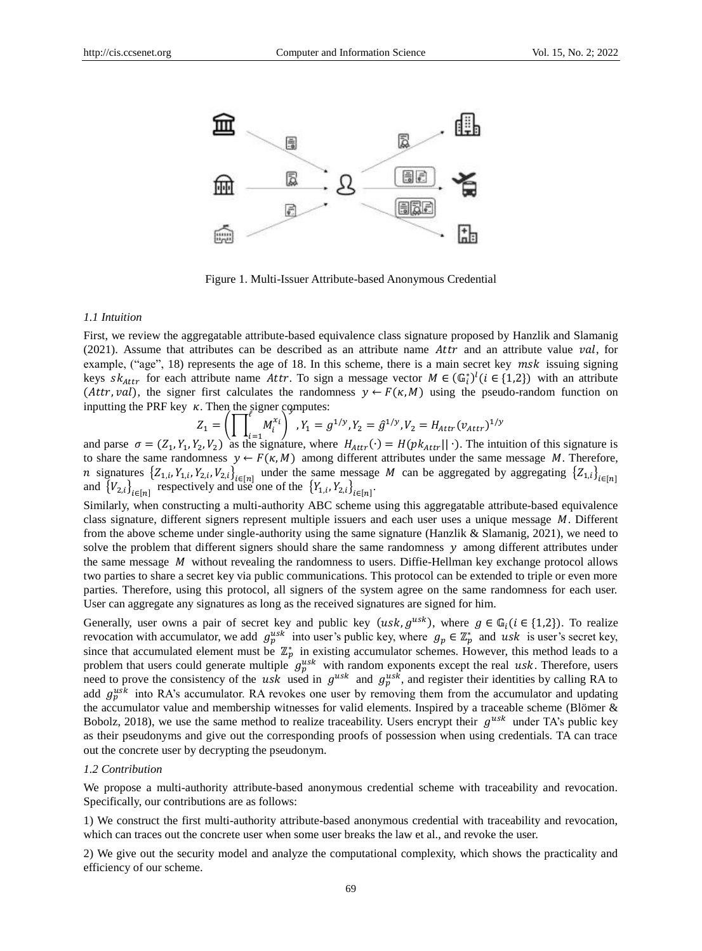

Figure 1. Multi-Issuer Attribute-based Anonymous Credential

## *1.1 Intuition*

First, we review the aggregatable attribute-based equivalence class signature proposed by Hanzlik and Slamanig  $(2021)$ . Assume that attributes can be described as an attribute name Attr and an attribute value val, for example, ("age", 18) represents the age of 18. In this scheme, there is a main secret key  $msk$  issuing signing keys sk<sub>attr</sub> for each attribute name Attr. To sign a message vector  $M \in (\mathbb{G}_i^*)^l (i \in \{1,2\})$  with an attribute (*Attr, val*), the signer first calculates the randomness  $y \leftarrow F(\kappa, M)$  using the pseudo-random function on inputting the PRF key  $\kappa$ . Then the signer computes:

$$
Z_1 = \left( \prod_{i=1}^t M_i^{x_i} \right)^{y}, Y_1 = g^{1/y}, Y_2 = \hat{g}^{1/y}, V_2 = H_{Attr}(v_{Attr})^{1/y}
$$

and parse  $\sigma = (Z_1, Y_1, Y_2, V_2)$  as the signature, where  $H_{Attr}(\cdot) = H(pk_{Attr}|| \cdot)$ . The intuition of this signature is to share the same randomness  $y \leftarrow F(\kappa, M)$  among different attributes under the same message M. Therefore, *n* signatures  $\{Z_{1,i}, Y_{1,i}, Y_{2,i}, V_{2,i}\}_{i \in [n]}$  under the same message *M* can be aggregated by aggregating  $\{Z_{1,i}\}_{i \in [n]}$  and  $\{V_{2,i}\}_{i \in [n]}$  respectively and use one of the  $\{Y_{1,i}, Y_{2,i}\}_{i \in [n]}$ .

Similarly, when constructing a multi-authority ABC scheme using this aggregatable attribute-based equivalence class signature, different signers represent multiple issuers and each user uses a unique message  $M$ . Different from the above scheme under single-authority using the same signature (Hanzlik & Slamanig, 2021), we need to solve the problem that different signers should share the same randomness  $\gamma$  among different attributes under the same message  $M$  without revealing the randomness to users. Diffie-Hellman key exchange protocol allows two parties to share a secret key via public communications. This protocol can be extended to triple or even more parties. Therefore, using this protocol, all signers of the system agree on the same randomness for each user. User can aggregate any signatures as long as the received signatures are signed for him.

Generally, user owns a pair of secret key and public key  $(usk, g^{usk})$ , where  $g \in \mathbb{G}_i (i \in \{1,2\})$ . To realize revocation with accumulator, we add  $g_p^{usk}$  into user's public key, where  $g_p \in \mathbb{Z}_p^*$  and usk is user's secret key, since that accumulated element must be  $\mathbb{Z}_p^*$  in existing accumulator schemes. However, this method leads to a problem that users could generate multiple  $g_p^{usk}$  with random exponents except the real usk. Therefore, users need to prove the consistency of the usk used in  $g^{usk}$  and  $g^{usk}_p$ , and register their identities by calling RA to add  $g_p^{usk}$  into RA's accumulator. RA revokes one user by removing them from the accumulator and updating the accumulator value and membership witnesses for valid elements. Inspired by a traceable scheme (Blömer & Bobolz, 2018), we use the same method to realize traceability. Users encrypt their  $g^{usk}$  under TA's public key as their pseudonyms and give out the corresponding proofs of possession when using credentials. TA can trace out the concrete user by decrypting the pseudonym.

#### *1.2 Contribution*

We propose a multi-authority attribute-based anonymous credential scheme with traceability and revocation. Specifically, our contributions are as follows:

1) We construct the first multi-authority attribute-based anonymous credential with traceability and revocation, which can traces out the concrete user when some user breaks the law et al., and revoke the user.

2) We give out the security model and analyze the computational complexity, which shows the practicality and efficiency of our scheme.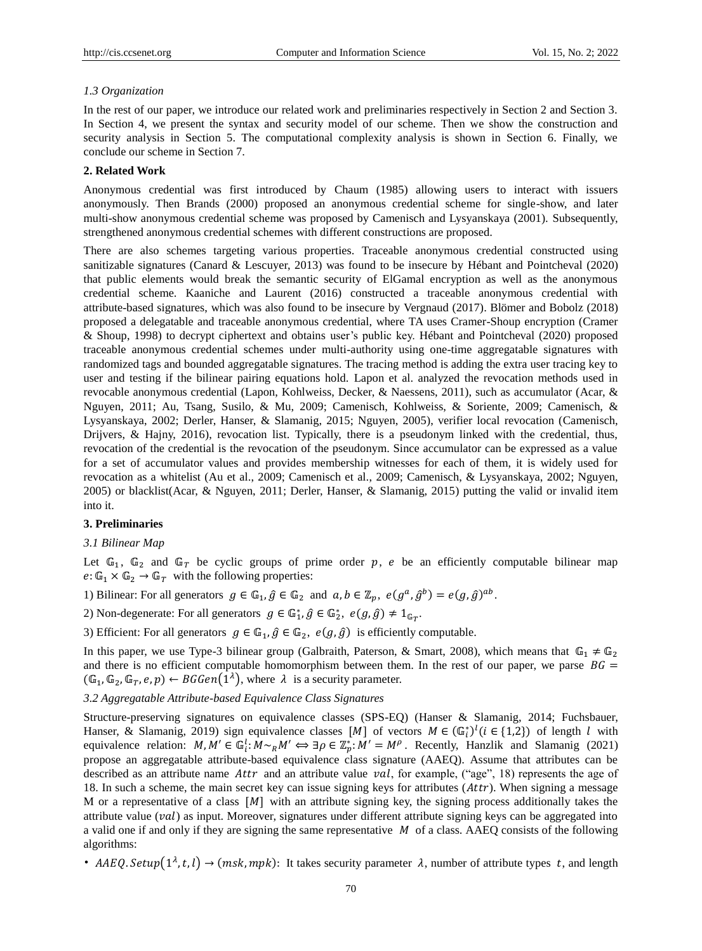## *1.3 Organization*

In the rest of our paper, we introduce our related work and preliminaries respectively in Section 2 and Section 3. In Section 4, we present the syntax and security model of our scheme. Then we show the construction and security analysis in Section 5. The computational complexity analysis is shown in Section 6. Finally, we conclude our scheme in Section 7.

#### **2. Related Work**

Anonymous credential was first introduced by Chaum (1985) allowing users to interact with issuers anonymously. Then Brands (2000) proposed an anonymous credential scheme for single-show, and later multi-show anonymous credential scheme was proposed by Camenisch and Lysyanskaya (2001). Subsequently, strengthened anonymous credential schemes with different constructions are proposed.

There are also schemes targeting various properties. Traceable anonymous credential constructed using sanitizable signatures (Canard & Lescuyer, 2013) was found to be insecure by Hébant and Pointcheval (2020) that public elements would break the semantic security of ElGamal encryption as well as the anonymous credential scheme. Kaaniche and Laurent (2016) constructed a traceable anonymous credential with attribute-based signatures, which was also found to be insecure by Vergnaud (2017). Blömer and Bobolz (2018) proposed a delegatable and traceable anonymous credential, where TA uses Cramer-Shoup encryption (Cramer & Shoup, 1998) to decrypt ciphertext and obtains user"s public key. Hébant and Pointcheval (2020) proposed traceable anonymous credential schemes under multi-authority using one-time aggregatable signatures with randomized tags and bounded aggregatable signatures. The tracing method is adding the extra user tracing key to user and testing if the bilinear pairing equations hold. Lapon et al. analyzed the revocation methods used in revocable anonymous credential (Lapon, Kohlweiss, Decker, & Naessens, 2011), such as accumulator (Acar, & Nguyen, 2011; Au, Tsang, Susilo, & Mu, 2009; Camenisch, Kohlweiss, & Soriente, 2009; Camenisch, & Lysyanskaya, 2002; Derler, Hanser, & Slamanig, 2015; Nguyen, 2005), verifier local revocation (Camenisch, Drijvers, & Hajny, 2016), revocation list. Typically, there is a pseudonym linked with the credential, thus, revocation of the credential is the revocation of the pseudonym. Since accumulator can be expressed as a value for a set of accumulator values and provides membership witnesses for each of them, it is widely used for revocation as a whitelist (Au et al., 2009; Camenisch et al., 2009; Camenisch, & Lysyanskaya, 2002; Nguyen, 2005) or blacklist(Acar, & Nguyen, 2011; Derler, Hanser, & Slamanig, 2015) putting the valid or invalid item into it.

#### **3. Preliminaries**

#### *3.1 Bilinear Map*

Let  $\mathbb{G}_1$ ,  $\mathbb{G}_2$  and  $\mathbb{G}_T$  be cyclic groups of prime order p, e be an efficiently computable bilinear map  $e: \mathbb{G}_1 \times \mathbb{G}_2 \to \mathbb{G}_T$  with the following properties:

1) Bilinear: For all generators  $g \in \mathbb{G}_1$ ,  $\hat{g} \in \mathbb{G}_2$  and  $a, b \in \mathbb{Z}_p$ ,  $e(g^a, \hat{g}^b) = e(g, \hat{g})^{ab}$ .

2) Non-degenerate: For all generators  $g \in \mathbb{G}_1^*, \hat{g} \in \mathbb{G}_2^*, e(g, \hat{g}) \neq 1_{\mathbb{G}_T}.$ 

3) Efficient: For all generators  $g \in \mathbb{G}_1$ ,  $\hat{g} \in \mathbb{G}_2$ ,  $e(g, \hat{g})$  is efficiently computable.

In this paper, we use Type-3 bilinear group (Galbraith, Paterson, & Smart, 2008), which means that  $\mathbb{G}_1 \neq \mathbb{G}_2$ and there is no efficient computable homomorphism between them. In the rest of our paper, we parse  $BG =$  $(\mathbb{G}_1, \mathbb{G}_2, \mathbb{G}_T, e, p) \leftarrow BGGen(1^{\lambda})$ , where  $\lambda$  is a security parameter.

# *3.2 Aggregatable Attribute-based Equivalence Class Signatures*

Structure-preserving signatures on equivalence classes (SPS-EQ) (Hanser & Slamanig, 2014; Fuchsbauer, Hanser, & Slamanig, 2019) sign equivalence classes [M] of vectors  $M \in (\mathbb{G}_i^*)^l (i \in \{1,2\})$  of length *l* with equivalence relation:  $M, M' \in \mathbb{G}_i^l: M \sim_R M' \Leftrightarrow \exists \rho \in \mathbb{Z}_p^* : M' = M^\rho$ . Recently, Hanzlik and Slamanig (2021) propose an aggregatable attribute-based equivalence class signature (AAEQ). Assume that attributes can be described as an attribute name Attr and an attribute value val, for example, ("age", 18) represents the age of 18. In such a scheme, the main secret key can issue signing keys for attributes  $(Attr)$ . When signing a message M or a representative of a class  $[M]$  with an attribute signing key, the signing process additionally takes the attribute value  $(val)$  as input. Moreover, signatures under different attribute signing keys can be aggregated into a valid one if and only if they are signing the same representative  $\dot{M}$  of a class. AAEQ consists of the following algorithms:

• AAEQ. Setup $(1^{\lambda}, t, l)$   $\rightarrow$  (msk, mpk): It takes security parameter  $\lambda$ , number of attribute types t, and length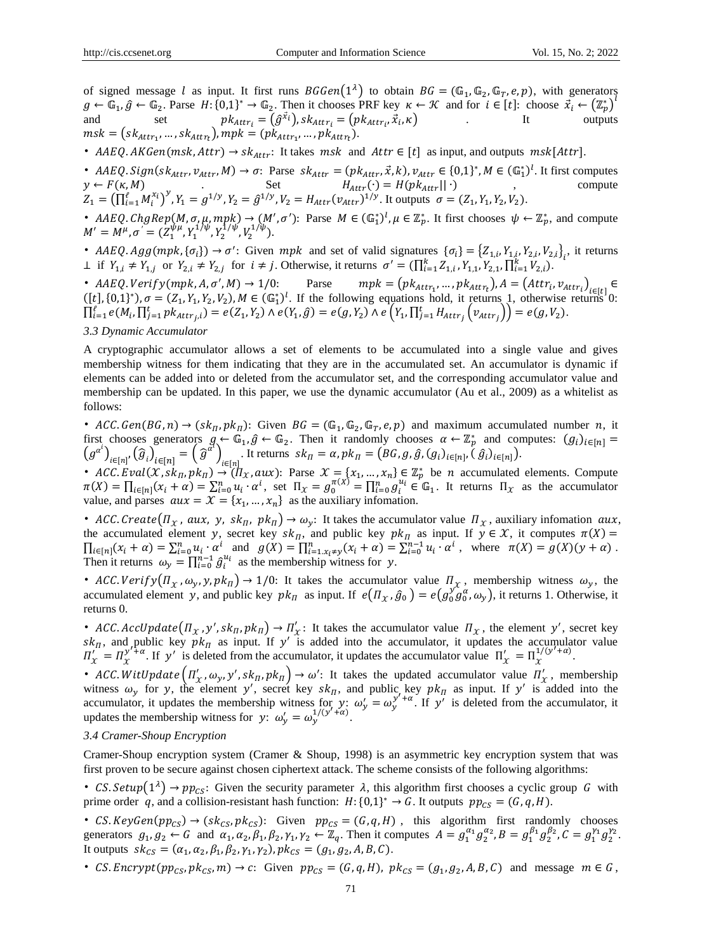of signed message *l* as input. It first runs  $BGGen(1^{\lambda})$  to obtain  $BG = (\mathbb{G}_1, \mathbb{G}_2, \mathbb{G}_T, e, p)$ , with generators  $g \leftarrow \mathbb{G}_1, \hat{g} \leftarrow \mathbb{G}_2$ . Parse  $H: \{0,1\}^* \rightarrow \mathbb{G}_2$ . Then it chooses PRF key  $\kappa \leftarrow \mathcal{K}$  and for  $i \in [t]$ : choose  $\vec{x}_i \leftarrow (\mathbb{Z}_p^*)^T$ and set  $pk_{Attr_i} = (\hat{g}^{\vec{x}_i})$ ,  $sk_{Attr_i} = (pk_{Attr_i}, \vec{x}_i, \kappa)$  It outputs  $msk = (sk_{\text{attr}_1}, ..., sk_{\text{attr}_t}), mpk = (pk_{\text{attr}_1}, ..., pk_{\text{attr}_t}).$ 

• AAEQ. AKGen(msk, Attr)  $\rightarrow$  sk<sub>Attr</sub>: It takes msk and Attr  $\in$  [t] as input, and outputs msk[Attr].

• AAEQ. Sign(s $k_{Attr}$ ,  $v_{Attr}$ ,  $M$ )  $\rightarrow \sigma$ : Parse  $sk_{Attr} = (pk_{Attr}, \vec{x}, k)$ ,  $v_{Attr} \in \{0, 1\}^*$ ,  $M \in (\mathbb{G}_1^*)^l$ . It first computes  $y \leftarrow F(\kappa, M)$  . Set  $H_{Attr}(\cdot) = H(pk_{Attr}|| \cdot)$  , compute  $Z_1 = (\prod_{i=1}^{\ell} M_i^{x_i})^y$ ,  $Y_1 = g^{1/y}$ ,  $Y_2 = \hat{g}^{1/y}$ ,  $V_2 = H_{Attr}(v_{attr})^{1/y}$ . It outputs  $\sigma = (Z_1, Y_1, Y_2, V_2)$ .

• AAEQ. ChgRep(M,  $\sigma$ ,  $\mu$ , mpk)  $\rightarrow$  (M',  $\sigma'$ ): Parse  $M \in (\mathbb{G}_1^*)^l$ ,  $\mu \in \mathbb{Z}_p^*$ . It first chooses  $\psi \leftarrow \mathbb{Z}_p^*$ , and compute  $M' = M^{\mu}, \sigma^{'} = (Z_1^{\psi\mu}, Y_1^{1/\psi}, Y_2^{1/\psi}, V_2^{1/\psi}).$ 

•  $A A E Q \cdot Agg(mpk, {\sigma_i}) \rightarrow \sigma'$ : Given mpk and set of valid signatures  ${\sigma_i} = {Z_{1,i}, Y_{1,i}, Y_{2,i}, Y_{2,i}}_i$ , it returns ⊥ if  $Y_{1,i} \neq Y_{1,j}$  or  $Y_{2,i} \neq Y_{2,j}$  for  $i \neq j$ . Otherwise, it returns  $\sigma' = (\prod_{i=1}^{k} Z_{1,i}, Y_{1,1}, Y_{2,1}, \prod_{i=1}^{k} V_{2,i})$ .

•  $A A E Q$ .  $Verify(mpk, A, \sigma', M) \rightarrow 1/0$ : Parse  $mpk = (pk_{Attr_1}, ..., pk_{Attr_t}), A = (Attr_i, v_{Attr_i})_{i \in [t]} \in$  $([t], \{0,1\}^*)$ ,  $\sigma = (Z_1, Y_1, Y_2, V_2)$ ,  $M \in (\mathbb{G}_1^*)^l$ . If the following equations hold, it returns 1, otherwise returns 0:  $\prod_{i=1}^{\ell} e(M_i, \prod_{j=1}^t pk_{Attr_j,i}) = e(Z_1, Y_2) \wedge e(Y_1, \hat{g}) = e(g, Y_2) \wedge e(Y_1, \prod_{j=1}^t H_{Attr_j}(v_{Attr_j})) = e(g, V_2).$ 

# *3.3 Dynamic Accumulator*

A cryptographic accumulator allows a set of elements to be accumulated into a single value and gives membership witness for them indicating that they are in the accumulated set. An accumulator is dynamic if elements can be added into or deleted from the accumulator set, and the corresponding accumulator value and membership can be updated. In this paper, we use the dynamic accumulator (Au et al., 2009) as a whitelist as follows:

• ACC. Gen(BG, n)  $\rightarrow$  (sk<sub>II</sub>, pk<sub>II</sub>): Given BG = (G<sub>1</sub>, G<sub>2</sub>, G<sub>T</sub>, e, p) and maximum accumulated number n, it first chooses generators  $g \leftarrow \mathbb{G}_1, \hat{g} \leftarrow \mathbb{G}_2$ . Then it randomly chooses  $\alpha \leftarrow \mathbb{Z}_p^*$  and computes:  $(g_i)_{i \in [n]}$  $(g^{a^i})_{i\in[n]},(\hat{g}_i)_{i\in[n]} = (\hat{g}^{a^i})_{i\in[n]}$ . It returns  $sk_{\Pi} = \alpha, pk_{\Pi} = (BG, g, \hat{g}, (g_i)_{i\in[n]}, (\hat{g}_i)_{i\in[n]})$ .

• ACC. Eval(X,  $sk_{\Pi}$ ,  $pk_{\Pi}$ )  $\rightarrow$   $(\Pi_X, aux)$ : Parse  $\mathcal{X} = \{x_1, ..., x_n\} \in \mathbb{Z}_p^*$  be *n* accumulated elements. Compute  $\pi(X) = \prod_{i \in [n]} (x_i + \alpha) = \sum_{i=0}^n u_i \cdot \alpha^i$ , set  $\Pi_X = g_0^{\pi(X)} = \prod_{i=0}^n g_i^{u_i} \in \mathbb{G}_1$ . It returns  $\Pi_X$  as the accumulator value, and parses  $aux = \mathcal{X} = \{x_1, ..., x_n\}$  as the auxiliary infomation.

• ACC. Create  $(\Pi_X, aux, y, sk_\Pi, pk_\Pi) \to \omega_y$ : It takes the accumulator value  $\Pi_X$ , auxiliary infomation aux, the accumulated element y, secret key  $sk_{\Pi}$ , and public key  $pk_{\Pi}$  as input. If  $y \in \mathcal{X}$ , it computes  $\pi(X)$  =  $\prod_{i \in [n]} (x_i + \alpha) = \sum_{i=0}^n u_i \cdot \alpha^i$  and  $g(X) = \prod_{i=1}^n x_i \neq y$   $(x_i + \alpha) = \sum_{i=0}^{n-1} u_i \cdot \alpha^i$ , where  $\pi(X) = g(X)(y + \alpha)$ . Then it returns  $\omega_y = \prod_{i=0}^{n-1} \hat{g}_i^{u_i}$  as the membership witness for y.

• ACC. Verify  $(\Pi_x, \omega_y, y, pk_B) \rightarrow 1/0$ : It takes the accumulator value  $\Pi_x$ , membership witness  $\omega_y$ , the accumulated element y, and public key  $pk_{\Pi}$  as input. If  $e(\Pi_x, \hat{g}_0) = e(g_0^{\hat{y}_0}g_0^{\alpha}, \omega_y)$ , it returns 1. Otherwise, it returns 0.

• ACC. AccUpdate  $(\Pi_x, y', sk_{\Pi}, pk_{\Pi}) \to \Pi'_x$ : It takes the accumulator value  $\Pi_x$ , the element y', secret key  $sk_{\Pi}$ , and public key  $pk_{\Pi}$  as input. If y' is added into the accumulator, it updates the accumulator value  $\Pi'_x = \Pi_{x}^{y'+\alpha}$ . If y' is deleted from the accumulator, it updates the accumulator value  $\Pi'_x = \Pi_{x}^{1/(y'+\alpha)}$ .

• ACC. WitUpdate  $(\Pi'_x, \omega_y, y', s k_{\Pi}, p k_{\Pi}) \to \omega'$ : It takes the updated accumulator value  $\Pi'_x$ , membership witness  $\omega_y$  for y, the element y', secret key sk<sub>n</sub>, and public, key pk<sub>n</sub> as input. If y' is added into the accumulator, it updates the membership witness for  $y: \omega'_y = \omega_y^{y'+\alpha}$ . If y' is deleted from the accumulator, it updates the membership witness for  $y: \omega'_{y} = \omega_{y}^{1/(y'+\alpha)}$ .

### *3.4 Cramer-Shoup Encryption*

Cramer-Shoup encryption system (Cramer & Shoup, 1998) is an asymmetric key encryption system that was first proven to be secure against chosen ciphertext attack. The scheme consists of the following algorithms:

• CS. Setup $(1^{\lambda}) \rightarrow pp_{CS}$ : Given the security parameter  $\lambda$ , this algorithm first chooses a cyclic group G with prime order q, and a collision-resistant hash function:  $H: \{0,1\}^* \to G$ . It outputs  $pp_{CS} = (G, q, H)$ .

• CS.  $KeyGen(pp_{CS}) \rightarrow (sk_{CS}, pk_{CS})$ : Given  $pp_{CS} = (G, q, H)$ , this algorithm first randomly chooses generators  $g_1, g_2 \leftarrow G$  and  $\alpha_1, \alpha_2, \beta_1, \beta_2, \gamma_1, \gamma_2 \leftarrow \mathbb{Z}_q$ . Then it computes  $A = g_1^{\alpha_1} g_2^{\alpha_2}, B = g_1^{\beta_1} g_2^{\beta_2}, C = g_1^{\gamma_1} g_2^{\gamma_2}$ . It outputs  $sk_{CS} = (\alpha_1, \alpha_2, \beta_1, \beta_2, \gamma_1, \gamma_2), pk_{CS} = (g_1, g_2, A, B, C).$ 

• CS. Encrypt( $pp_{CS}$ ,  $pk_{CS}$ ,  $m) \rightarrow c$ : Given  $pp_{CS} = (G, q, H)$ ,  $pk_{CS} = (g_1, g_2, A, B, C)$  and message  $m \in G$ ,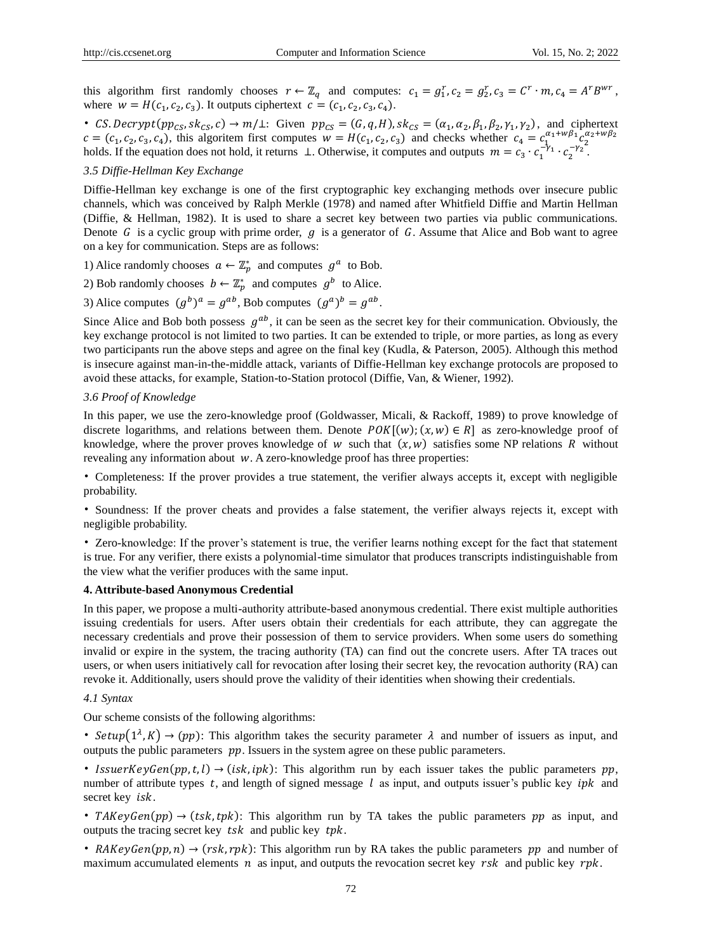this algorithm first randomly chooses  $r \leftarrow \mathbb{Z}_q$  and computes:  $c_1 = g_1^r, c_2 = g_2^r, c_3 = C^r \cdot m, c_4 = A^r B^{wr}$ , where  $w = H(c_1, c_2, c_3)$ . It outputs ciphertext  $c = (c_1, c_2, c_3, c_4)$ .

• CS. Decrypt( $pp_{CS}$ ,  $sk_{CS}$ ,  $c$ )  $\rightarrow$   $m/\perp$ : Given  $pp_{CS} = (G, q, H)$ ,  $sk_{CS} = (\alpha_1, \alpha_2, \beta_1, \beta_2, \gamma_1, \gamma_2)$ , and ciphertext  $c = (c_1, c_2, c_3, c_4)$ , this algoritem first computes  $w = H(c_1, c_2, c_3)$  and checks whether  $c_4 = c_1^{\alpha_1 + w\beta_1}c_2^{\alpha_2 + w\beta_2}$ holds. If the equation does not hold, it returns ⊥. Otherwise, it computes and outputs  $m = c_3 \cdot c_1^{-\gamma_1} \cdot c_2^{-\gamma_2}$ .

#### *3.5 Diffie-Hellman Key Exchange*

Diffie-Hellman key exchange is one of the first cryptographic key exchanging methods over insecure public channels, which was conceived by Ralph Merkle (1978) and named after Whitfield Diffie and Martin Hellman (Diffie, & Hellman, 1982). It is used to share a secret key between two parties via public communications. Denote  $G$  is a cyclic group with prime order,  $g$  is a generator of  $G$ . Assume that Alice and Bob want to agree on a key for communication. Steps are as follows:

1) Alice randomly chooses  $a \leftarrow \mathbb{Z}_p^*$  and computes  $g^a$  to Bob.

2) Bob randomly chooses  $b \leftarrow \mathbb{Z}_p^*$  and computes  $g^b$  to Alice.

3) Alice computes  $(g^b)^a = g^{ab}$ , Bob computes  $(g^a)^b = g^{ab}$ .

Since Alice and Bob both possess  $g^{ab}$ , it can be seen as the secret key for their communication. Obviously, the key exchange protocol is not limited to two parties. It can be extended to triple, or more parties, as long as every two participants run the above steps and agree on the final key (Kudla, & Paterson, 2005). Although this method is insecure against man-in-the-middle attack, variants of Diffie-Hellman key exchange protocols are proposed to avoid these attacks, for example, Station-to-Station protocol (Diffie, Van, & Wiener, 1992).

#### *3.6 Proof of Knowledge*

In this paper, we use the zero-knowledge proof (Goldwasser, Micali, & Rackoff, 1989) to prove knowledge of discrete logarithms, and relations between them. Denote  $POK[(w); (x, w) \in R]$  as zero-knowledge proof of knowledge, where the prover proves knowledge of  $w$  such that  $(x, w)$  satisfies some NP relations  $R$  without revealing any information about  $w$ . A zero-knowledge proof has three properties:

• Completeness: If the prover provides a true statement, the verifier always accepts it, except with negligible probability.

• Soundness: If the prover cheats and provides a false statement, the verifier always rejects it, except with negligible probability.

• Zero-knowledge: If the prover"s statement is true, the verifier learns nothing except for the fact that statement is true. For any verifier, there exists a polynomial-time simulator that produces transcripts indistinguishable from the view what the verifier produces with the same input.

## **4. Attribute-based Anonymous Credential**

In this paper, we propose a multi-authority attribute-based anonymous credential. There exist multiple authorities issuing credentials for users. After users obtain their credentials for each attribute, they can aggregate the necessary credentials and prove their possession of them to service providers. When some users do something invalid or expire in the system, the tracing authority (TA) can find out the concrete users. After TA traces out users, or when users initiatively call for revocation after losing their secret key, the revocation authority (RA) can revoke it. Additionally, users should prove the validity of their identities when showing their credentials.

#### *4.1 Syntax*

Our scheme consists of the following algorithms:

• Setup( $1^{\lambda}$ , K)  $\rightarrow$  (pp): This algorithm takes the security parameter  $\lambda$  and number of issuers as input, and outputs the public parameters  $pp$ . Issuers in the system agree on these public parameters.

• IssuerKeyGen(pp, t, l)  $\rightarrow$  (isk, ipk): This algorithm run by each issuer takes the public parameters pp, number of attribute types  $t$ , and length of signed message  $l$  as input, and outputs issuer's public key *ipk* and secret key *isk*.

• TAKeyGen(pp)  $\rightarrow$  (tsk, tpk): This algorithm run by TA takes the public parameters pp as input, and outputs the tracing secret key  $tsk$  and public key  $tpk$ .

• RAKeyGen(pp, n)  $\rightarrow$  (rsk, rpk): This algorithm run by RA takes the public parameters pp and number of maximum accumulated elements  $n$  as input, and outputs the revocation secret key  $r$ sk and public key  $rpk$ .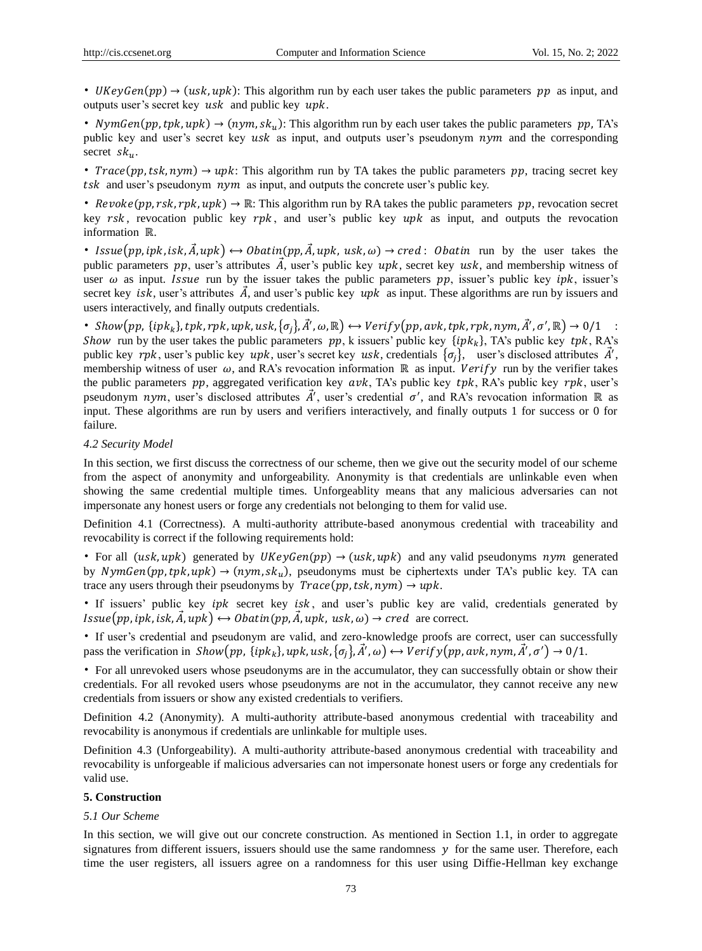• UKeyGen(pp)  $\rightarrow$  (usk, upk): This algorithm run by each user takes the public parameters pp as input, and outputs user's secret key  $usk$  and public key  $\n$ upk.

• NymGen(pp, tpk, upk)  $\rightarrow$  (nym, sk<sub>u</sub>): This algorithm run by each user takes the public parameters pp, TA's public key and user's secret key  $usk$  as input, and outputs user's pseudonym  $nym$  and the corresponding secret  $sk_u$ .

• *Trace*(pp, tsk, nym)  $\rightarrow$  upk: This algorithm run by TA takes the public parameters pp, tracing secret key tsk and user's pseudonym  $nym$  as input, and outputs the concrete user's public key.

• Revoke(pp, rsk, rpk, upk)  $\rightarrow \mathbb{R}$ : This algorithm run by RA takes the public parameters pp, revocation secret key  $rsk$ , revocation public key  $rpk$ , and user's public key  $upk$  as input, and outputs the revocation information ℝ.

• Issue(pp, ipk, isk,  $\vec{A}$ , upk)  $\leftrightarrow$  Obatin(pp,  $\vec{A}$ , upk, usk,  $\omega$ )  $\rightarrow$  cred: Obatin run by the user takes the public parameters  $pp$ , user's attributes  $\vec{A}$ , user's public key  $upk$ , secret key  $usk$ , and membership witness of user  $\omega$  as input. *Issue* run by the issuer takes the public parameters pp, issuer's public key *ipk*, issuer's secret key *isk*, user's attributes  $\vec{A}$ , and user's public key *upk* as input. These algorithms are run by issuers and users interactively, and finally outputs credentials.

• Show $(pp, \{ipk_k\}, tpk, rpk, upk, usk,  $\{\sigma_j\}, \vec{A}', \omega, \mathbb{R}) \leftrightarrow Verify(pp, avk, tpk, rpk, nym, \vec{A}', \sigma', \mathbb{R}) \to 0/1$ :$ Show run by the user takes the public parameters  $pp$ , k issuers' public key  $\{ipk_k\}$ , TA's public key  $tpk$ , RA's public key rpk, user's public key upk, user's secret key usk, credentials  $\{\sigma_j\}$ , user's disclosed attributes  $\vec{A}'$ , membership witness of user  $\omega$ , and RA's revocation information ℝ as input. *Verify* run by the verifier takes the public parameters  $pp$ , aggregated verification key  $avk$ , TA's public key  $trk$ , RA's public key  $rpk$ , user's pseudonym nym, user's disclosed attributes  $\vec{A}'$ , user's credential  $\sigma'$ , and RA's revocation information ℝ as input. These algorithms are run by users and verifiers interactively, and finally outputs 1 for success or 0 for failure.

#### *4.2 Security Model*

In this section, we first discuss the correctness of our scheme, then we give out the security model of our scheme from the aspect of anonymity and unforgeability. Anonymity is that credentials are unlinkable even when showing the same credential multiple times. Unforgeablity means that any malicious adversaries can not impersonate any honest users or forge any credentials not belonging to them for valid use.

Definition 4.1 (Correctness). A multi-authority attribute-based anonymous credential with traceability and revocability is correct if the following requirements hold:

• For all (usk, upk) generated by UKeyGen(pp)  $\rightarrow$  (usk, upk) and any valid pseudonyms nym generated by *NymGen*(pp, tpk, upk)  $\rightarrow$  (nym, sk<sub>u</sub>), pseudonyms must be ciphertexts under TA's public key. TA can trace any users through their pseudonyms by  $Trace(pp, tsk, nym) \rightarrow upk$ .

• If issuers' public key  $ipk$  secret key  $isk$ , and user's public key are valid, credentials generated by  $Issue(pp, ipk, isk, \tilde{A}, upk) \leftrightarrow Obtain(pp, \tilde{A}, upk, usk, \omega) \rightarrow cred$  are correct.

• If user"s credential and pseudonym are valid, and zero-knowledge proofs are correct, user can successfully pass the verification in Show $(p p,~\{ipk_k\},upk,usk, \{\sigma_j\},\vec{A}',\omega) \leftrightarrow Verify(p p,avk, nym,\vec{A}',\sigma') \to 0/1.$ 

• For all unrevoked users whose pseudonyms are in the accumulator, they can successfully obtain or show their credentials. For all revoked users whose pseudonyms are not in the accumulator, they cannot receive any new credentials from issuers or show any existed credentials to verifiers.

Definition 4.2 (Anonymity). A multi-authority attribute-based anonymous credential with traceability and revocability is anonymous if credentials are unlinkable for multiple uses.

Definition 4.3 (Unforgeability). A multi-authority attribute-based anonymous credential with traceability and revocability is unforgeable if malicious adversaries can not impersonate honest users or forge any credentials for valid use.

#### **5. Construction**

#### *5.1 Our Scheme*

In this section, we will give out our concrete construction. As mentioned in Section 1.1, in order to aggregate signatures from different issuers, issuers should use the same randomness  $y$  for the same user. Therefore, each time the user registers, all issuers agree on a randomness for this user using Diffie-Hellman key exchange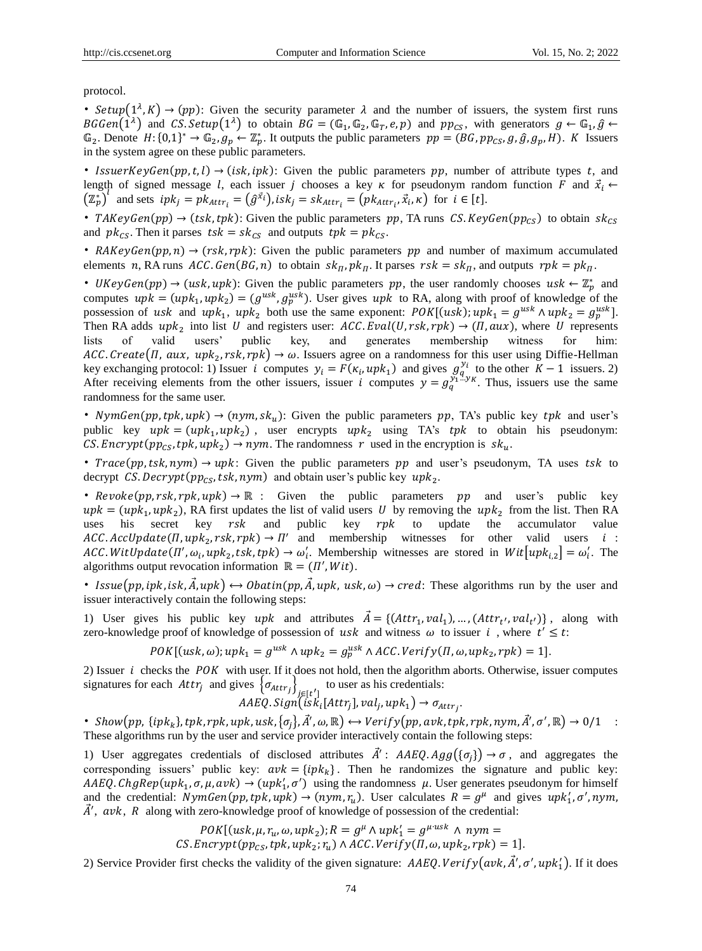protocol.

• Setup $(1^{\lambda}, K) \rightarrow (pp)$ : Given the security parameter  $\lambda$  and the number of issuers, the system first runs  $BGGen(1^{\lambda})$  and  $CS.Setup(1^{\lambda})$  to obtain  $BG = (\mathbb{G}_1, \mathbb{G}_2, \mathbb{G}_T, e, p)$  and  $pp_{CS}$ , with generators  $g \leftarrow \mathbb{G}_1, \hat{g} \leftarrow$  $\mathbb{G}_2$ . Denote  $H: \{0,1\}^* \to \mathbb{G}_2$ ,  $g_p \leftarrow \mathbb{Z}_p^*$ . It outputs the public parameters  $pp = (BG, pp_{CS}, g, \hat{g}, g_p, H)$ . K Issuers in the system agree on these public parameters.

• IssuerKeyGen(pp, t, l)  $\rightarrow$  (isk, ipk): Given the public parameters pp, number of attribute types t, and length of signed message l, each issuer j chooses a key  $\kappa$  for pseudonym random function  $F$  and  $\vec{x}_i \leftarrow$  $(\mathbb{Z}_p^*)^l$  and sets  $ipk_j = pk_{Attr_i} = (\hat{g}^{x_i})$ ,  $isk_j = sk_{Attr_i} = (pk_{Attr_i}, \vec{x_i}, \kappa)$  for  $i \in [t]$ .

• TAKeyGen(pp)  $\rightarrow$  (tsk, tpk): Given the public parameters pp, TA runs CS. KeyGen(pp<sub>CS</sub>) to obtain sk<sub>CS</sub> and  $pk_{CS}$ . Then it parses  $tsk = sk_{CS}$  and outputs  $tpk = pk_{CS}$ .

• RAKeyGen(pp, n)  $\rightarrow$  (rsk, rpk): Given the public parameters pp and number of maximum accumulated elements n, RA runs  $ACC$ .  $Gen(BG, n)$  to obtain  $sk_{\Pi}$ ,  $pk_{\Pi}$ . It parses  $rsk = sk_{\Pi}$ , and outputs  $rpk = pk_{\Pi}$ .

• UKeyGen(pp)  $\rightarrow$  (usk, upk): Given the public parameters pp, the user randomly chooses usk  $\leftarrow \mathbb{Z}_p^*$  and computes  $upk = (upk_1, upk_2) = (g^{usk}, g_p^{usk})$ . User gives  $upk$  to RA, along with proof of knowledge of the possession of usk and  $upk_1$ ,  $upk_2$  both use the same exponent:  $POK[(usk); upk_1 = g^{usk} \wedge upk_2 = g^{usk}_p]$ . Then RA adds  $upk_2$  into list U and registers user:  $ACC.Eval(U, rsk, rpk) \rightarrow (II, aux)$ , where U represents lists of valid users" public key, and generates membership witness for him: ACC. Create(II, aux, up $k_2$ , rsk, rpk)  $\rightarrow \omega$ . Issuers agree on a randomness for this user using Diffie-Hellman key exchanging protocol: 1) Issuer *i* computes  $y_i = F(\kappa_i, upk_1)$  and gives  $g_q^{y_i}$  to the other  $K-1$  issuers. 2) After receiving elements from the other issuers, issuer i computes  $y = g_q^{\overline{y_1}x}$ . Thus, issuers use the same randomness for the same user.

• NymGen(pp, tpk, upk)  $\rightarrow$  (nym, sk<sub>u</sub>): Given the public parameters pp, TA's public key tpk and user's public key  $upk = (upk_1, upk_2)$ , user encrypts  $upk_2$  using TA's tpk to obtain his pseudonym: *CS. Encrypt* ( $pp_{CS}$ ,  $tpk$ ,  $upk_2$ )  $\rightarrow$  *nym*. The randomness r used in the encryption is  $sk_u$ .

• Trace(pp, tsk, nym)  $\rightarrow$  upk: Given the public parameters pp and user's pseudonym, TA uses tsk to decrypt CS. Decrypt ( $pp_{CS}$ , tsk, nym) and obtain user's public key  $upk_2$ .

•  $Revole(pp, rsk, rpk, upk) \rightarrow \mathbb{R}$  : Given the public parameters pp and user's public key  $upk = (upk_1, upk_2)$ , RA first updates the list of valid users U by removing the  $upk_2$  from the list. Then RA uses his secret key  $rsk$  and public key  $rpk$  to update the accumulator value  $ACC. AccUpdate (II, upk<sub>2</sub>, rsk, rpk) \rightarrow II'$  and membership witnesses for other valid users *i*: ACC. WitUpdate( $\Pi'$ ,  $\omega_i$ , up $k_2$ , tsk, tpk)  $\rightarrow \omega'_i$ . Membership witnesses are stored in Wit $[upk_{i,2}] = \omega'_i$ . The algorithms output revocation information  $\mathbb{R} = (\Pi', Wit)$ .

• Issue(pp, ipk, isk,  $\vec{A}$ , upk)  $\leftrightarrow$  Obatin(pp,  $\vec{A}$ , upk, usk,  $\omega$ )  $\rightarrow$  cred: These algorithms run by the user and issuer interactively contain the following steps:

1) User gives his public key upk and attributes  $\vec{A} = \{ (Attr_1, val_1), ..., (Attr_{t'}, val_{t'}) \}$ , along with zero-knowledge proof of knowledge of possession of usk and witness  $\omega$  to issuer i, where  $t' \leq t$ :

 $POK[(usk, \omega); upk_1 = g^{usk} \wedge upk_2 = g_p^{usk} \wedge ACC. Verify(\Pi, \omega, upk_2, rpk) = 1].$ 

2) Issuer  $i$  checks the  $POK$  with user. If it does not hold, then the algorithm aborts. Otherwise, issuer computes signatures for each  $Attr_j$  and gives  $\{\sigma_{Attr_j}\}_{j \in [t']}$  to user as his credentials:

 $AABQ. Sign(isk_i[Attr_j], val_j, upk_1) \rightarrow \sigma_{Attr_j}.$ 

• Show $(pp, \{ipk_k\}, tpk, rpk, upk, usk,  $\{\sigma_j\}, \vec{A}', \omega, \mathbb{R}) \leftrightarrow Verify(pp, avk, tpk, rpk, nym, \vec{A}', \sigma', \mathbb{R}) \to 0/1$ :$ These algorithms run by the user and service provider interactively contain the following steps:

1) User aggregates credentials of disclosed attributes  $\vec{A}'$ :  $AAEQ$ .  $Agg(\{\sigma_j\}) \rightarrow \sigma$ , and aggregates the corresponding issuers' public key:  $avk = {ipk_k}$ . Then he randomizes the signature and public key:  $AAEQ.ChgRep(upk<sub>1</sub>, \sigma, \mu, avk) \rightarrow (upk'<sub>1</sub>, \sigma')$  using the randomness  $\mu$ . User generates pseudonym for himself and the credential:  $NymGen(pp, tpk, upk) \to (nym, r_u)$ . User calculates  $R = g^{\mu}$  and gives  $upk'_1, \sigma', nym$ ,  $\vec{A}'$ , avk, R along with zero-knowledge proof of knowledge of possession of the credential:

> $POK[(usk, \mu, r_u, \omega, upk_2); R = g^{\mu} \wedge upk'_1 = g^{\mu \cdot usk} \wedge nym =$ *CS. Encrypt*  $(pp_{CS}, tpk, upk<sub>2</sub>; r<sub>u</sub>) \wedge ACC. Verify(\Pi, \omega, upk<sub>2</sub>, rpk) = 1$ .

2) Service Provider first checks the validity of the given signature:  $AAEQ. Verify(avk, \vec{A}', \sigma', upk'_1)$ . If it does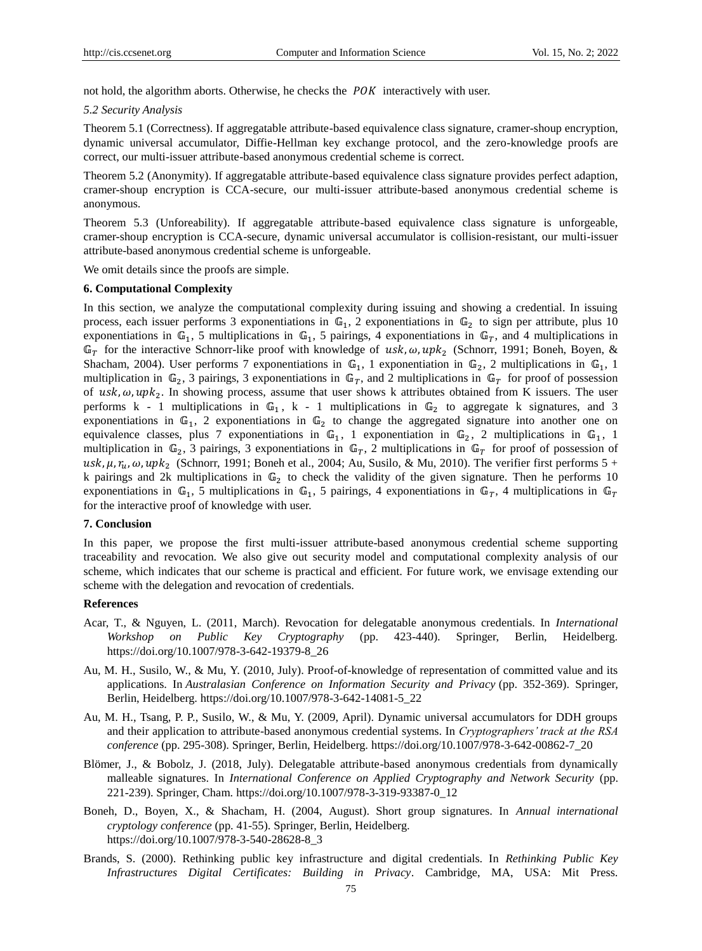not hold, the algorithm aborts. Otherwise, he checks the  $POK$  interactively with user.

#### *5.2 Security Analysis*

Theorem 5.1 (Correctness). If aggregatable attribute-based equivalence class signature, cramer-shoup encryption, dynamic universal accumulator, Diffie-Hellman key exchange protocol, and the zero-knowledge proofs are correct, our multi-issuer attribute-based anonymous credential scheme is correct.

Theorem 5.2 (Anonymity). If aggregatable attribute-based equivalence class signature provides perfect adaption, cramer-shoup encryption is CCA-secure, our multi-issuer attribute-based anonymous credential scheme is anonymous.

Theorem 5.3 (Unforeability). If aggregatable attribute-based equivalence class signature is unforgeable, cramer-shoup encryption is CCA-secure, dynamic universal accumulator is collision-resistant, our multi-issuer attribute-based anonymous credential scheme is unforgeable.

We omit details since the proofs are simple.

#### **6. Computational Complexity**

In this section, we analyze the computational complexity during issuing and showing a credential. In issuing process, each issuer performs 3 exponentiations in  $\mathbb{G}_1$ , 2 exponentiations in  $\mathbb{G}_2$  to sign per attribute, plus 10 exponentiations in  $\mathbb{G}_1$ , 5 multiplications in  $\mathbb{G}_1$ , 5 pairings, 4 exponentiations in  $\mathbb{G}_T$ , and 4 multiplications in  $\mathbb{G}_T$  for the interactive Schnorr-like proof with knowledge of  $usk, \omega, upk_2$  (Schnorr, 1991; Boneh, Boyen, & Shacham, 2004). User performs 7 exponentiations in  $\mathbb{G}_1$ , 1 exponentiation in  $\mathbb{G}_2$ , 2 multiplications in  $\mathbb{G}_1$ , 1 multiplication in  $\mathbb{G}_2$ , 3 pairings, 3 exponentiations in  $\mathbb{G}_T$ , and 2 multiplications in  $\mathbb{G}_T$  for proof of possession of usk,  $\omega$ , upk<sub>2</sub>. In showing process, assume that user shows k attributes obtained from K issuers. The user performs k - 1 multiplications in  $\mathbb{G}_1$ , k - 1 multiplications in  $\mathbb{G}_2$  to aggregate k signatures, and 3 exponentiations in  $\mathbb{G}_1$ , 2 exponentiations in  $\mathbb{G}_2$  to change the aggregated signature into another one on equivalence classes, plus 7 exponentiations in  $\mathbb{G}_1$ , 1 exponentiation in  $\mathbb{G}_2$ , 2 multiplications in  $\mathbb{G}_1$ , 1 multiplication in  $\mathbb{G}_2$ , 3 pairings, 3 exponentiations in  $\mathbb{G}_T$ , 2 multiplications in  $\mathbb{G}_T$  for proof of possession of usk,  $\mu$ ,  $r_u$ ,  $\omega$ , up $k_2$  (Schnorr, 1991; Boneh et al., 2004; Au, Susilo, & Mu, 2010). The verifier first performs 5 + k pairings and 2k multiplications in  $\mathbb{G}_2$  to check the validity of the given signature. Then he performs 10 exponentiations in  $\mathbb{G}_1$ , 5 multiplications in  $\mathbb{G}_1$ , 5 pairings, 4 exponentiations in  $\mathbb{G}_T$ , 4 multiplications in  $\mathbb{G}_T$ for the interactive proof of knowledge with user.

#### **7. Conclusion**

In this paper, we propose the first multi-issuer attribute-based anonymous credential scheme supporting traceability and revocation. We also give out security model and computational complexity analysis of our scheme, which indicates that our scheme is practical and efficient. For future work, we envisage extending our scheme with the delegation and revocation of credentials.

#### **References**

- Acar, T., & Nguyen, L. (2011, March). Revocation for delegatable anonymous credentials. In *International Workshop on Public Key Cryptography* (pp. 423-440). Springer, Berlin, Heidelberg. https://doi.org/10.1007/978-3-642-19379-8\_26
- Au, M. H., Susilo, W., & Mu, Y. (2010, July). Proof-of-knowledge of representation of committed value and its applications. In *Australasian Conference on Information Security and Privacy* (pp. 352-369). Springer, Berlin, Heidelberg. https://doi.org/10.1007/978-3-642-14081-5\_22
- Au, M. H., Tsang, P. P., Susilo, W., & Mu, Y. (2009, April). Dynamic universal accumulators for DDH groups and their application to attribute-based anonymous credential systems. In *Cryptographers' track at the RSA conference* (pp. 295-308). Springer, Berlin, Heidelberg. https://doi.org/10.1007/978-3-642-00862-7\_20
- Blömer, J., & Bobolz, J. (2018, July). Delegatable attribute-based anonymous credentials from dynamically malleable signatures. In *International Conference on Applied Cryptography and Network Security* (pp. 221-239). Springer, Cham. https://doi.org/10.1007/978-3-319-93387-0\_12
- Boneh, D., Boyen, X., & Shacham, H. (2004, August). Short group signatures. In *Annual international cryptology conference* (pp. 41-55). Springer, Berlin, Heidelberg. https://doi.org/10.1007/978-3-540-28628-8\_3
- Brands, S. (2000). Rethinking public key infrastructure and digital credentials. In *Rethinking Public Key Infrastructures Digital Certificates: Building in Privacy*. Cambridge, MA, USA: Mit Press.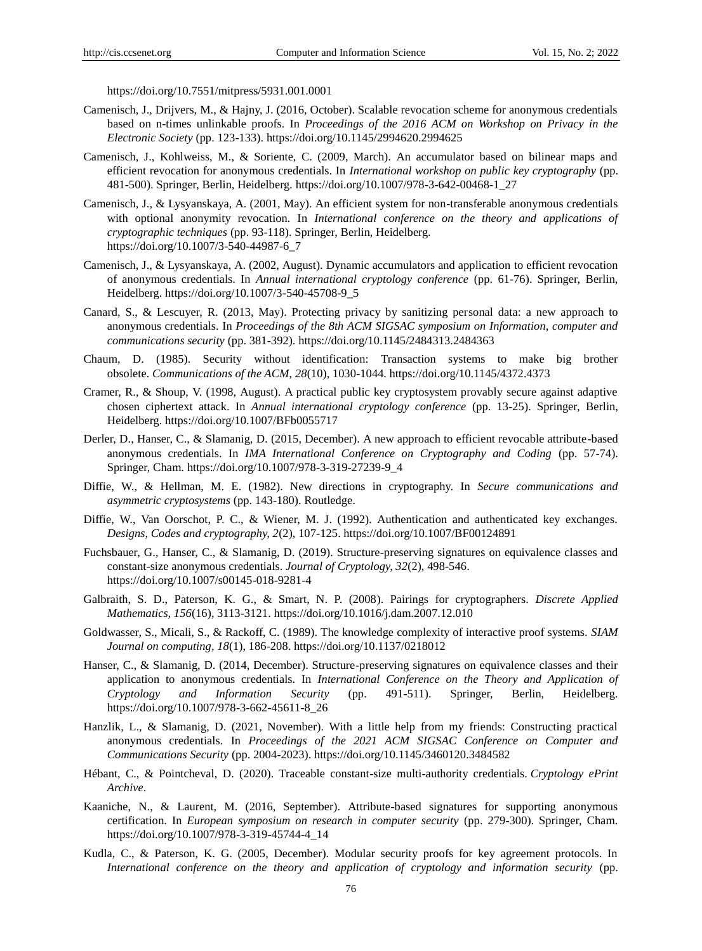https://doi.org/10.7551/mitpress/5931.001.0001

- Camenisch, J., Drijvers, M., & Hajny, J. (2016, October). Scalable revocation scheme for anonymous credentials based on n-times unlinkable proofs. In *Proceedings of the 2016 ACM on Workshop on Privacy in the Electronic Society* (pp. 123-133). https://doi.org/10.1145/2994620.2994625
- Camenisch, J., Kohlweiss, M., & Soriente, C. (2009, March). An accumulator based on bilinear maps and efficient revocation for anonymous credentials. In *International workshop on public key cryptography* (pp. 481-500). Springer, Berlin, Heidelberg. https://doi.org/10.1007/978-3-642-00468-1\_27
- Camenisch, J., & Lysyanskaya, A. (2001, May). An efficient system for non-transferable anonymous credentials with optional anonymity revocation. In *International conference on the theory and applications of cryptographic techniques* (pp. 93-118). Springer, Berlin, Heidelberg. https://doi.org/10.1007/3-540-44987-6\_7
- Camenisch, J., & Lysyanskaya, A. (2002, August). Dynamic accumulators and application to efficient revocation of anonymous credentials. In *Annual international cryptology conference* (pp. 61-76). Springer, Berlin, Heidelberg. https://doi.org/10.1007/3-540-45708-9\_5
- Canard, S., & Lescuyer, R. (2013, May). Protecting privacy by sanitizing personal data: a new approach to anonymous credentials. In *Proceedings of the 8th ACM SIGSAC symposium on Information, computer and communications security* (pp. 381-392). https://doi.org/10.1145/2484313.2484363
- Chaum, D. (1985). Security without identification: Transaction systems to make big brother obsolete. *Communications of the ACM*, *28*(10), 1030-1044. https://doi.org/10.1145/4372.4373
- Cramer, R., & Shoup, V. (1998, August). A practical public key cryptosystem provably secure against adaptive chosen ciphertext attack. In *Annual international cryptology conference* (pp. 13-25). Springer, Berlin, Heidelberg. https://doi.org/10.1007/BFb0055717
- Derler, D., Hanser, C., & Slamanig, D. (2015, December). A new approach to efficient revocable attribute-based anonymous credentials. In *IMA International Conference on Cryptography and Coding* (pp. 57-74). Springer, Cham. https://doi.org/10.1007/978-3-319-27239-9\_4
- Diffie, W., & Hellman, M. E. (1982). New directions in cryptography. In *Secure communications and asymmetric cryptosystems* (pp. 143-180). Routledge.
- Diffie, W., Van Oorschot, P. C., & Wiener, M. J. (1992). Authentication and authenticated key exchanges. *Designs, Codes and cryptography, 2*(2), 107-125. https://doi.org/10.1007/BF00124891
- Fuchsbauer, G., Hanser, C., & Slamanig, D. (2019). Structure-preserving signatures on equivalence classes and constant-size anonymous credentials. *Journal of Cryptology, 32*(2), 498-546. https://doi.org/10.1007/s00145-018-9281-4
- Galbraith, S. D., Paterson, K. G., & Smart, N. P. (2008). Pairings for cryptographers. *Discrete Applied Mathematics, 156*(16), 3113-3121. https://doi.org/10.1016/j.dam.2007.12.010
- Goldwasser, S., Micali, S., & Rackoff, C. (1989). The knowledge complexity of interactive proof systems. *SIAM Journal on computing, 18*(1), 186-208. https://doi.org/10.1137/0218012
- Hanser, C., & Slamanig, D. (2014, December). Structure-preserving signatures on equivalence classes and their application to anonymous credentials. In *International Conference on the Theory and Application of Cryptology and Information Security* (pp. 491-511). Springer, Berlin, Heidelberg. https://doi.org/10.1007/978-3-662-45611-8\_26
- Hanzlik, L., & Slamanig, D. (2021, November). With a little help from my friends: Constructing practical anonymous credentials. In *Proceedings of the 2021 ACM SIGSAC Conference on Computer and Communications Security* (pp. 2004-2023). https://doi.org/10.1145/3460120.3484582
- Hébant, C., & Pointcheval, D. (2020). Traceable constant-size multi-authority credentials. *Cryptology ePrint Archive*.
- Kaaniche, N., & Laurent, M. (2016, September). Attribute-based signatures for supporting anonymous certification. In *European symposium on research in computer security* (pp. 279-300). Springer, Cham. https://doi.org/10.1007/978-3-319-45744-4\_14
- Kudla, C., & Paterson, K. G. (2005, December). Modular security proofs for key agreement protocols. In *International conference on the theory and application of cryptology and information security* (pp.